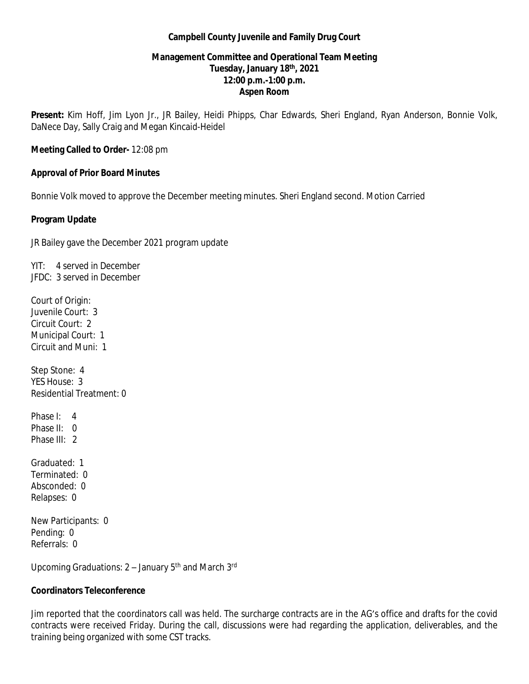### **Campbell County Juvenile and Family Drug Court**

# **Management Committee and Operational Team Meeting Tuesday, January 18th, 2021 12:00 p.m.-1:00 p.m. Aspen Room**

**Present:** Kim Hoff, Jim Lyon Jr., JR Bailey, Heidi Phipps, Char Edwards, Sheri England, Ryan Anderson, Bonnie Volk, DaNece Day, Sally Craig and Megan Kincaid-Heidel

**Meeting Called to Order-** 12:08 pm

### **Approval of Prior Board Minutes**

Bonnie Volk moved to approve the December meeting minutes. Sheri England second. Motion Carried

### **Program Update**

JR Bailey gave the December 2021 program update

YIT: 4 served in December JFDC: 3 served in December

Court of Origin: Juvenile Court: 3 Circuit Court: 2 Municipal Court: 1 Circuit and Muni: 1

Step Stone: 4 YES House: 3 Residential Treatment: 0

Phase I: 4 Phase II: 0 Phase III: 2

Graduated: 1 Terminated: 0 Absconded: 0 Relapses: 0

New Participants: 0 Pending: 0 Referrals: 0

Upcoming Graduations: 2 – January 5th and March 3rd

## **Coordinators Teleconference**

Jim reported that the coordinators call was held. The surcharge contracts are in the AG's office and drafts for the covid contracts were received Friday. During the call, discussions were had regarding the application, deliverables, and the training being organized with some CST tracks.